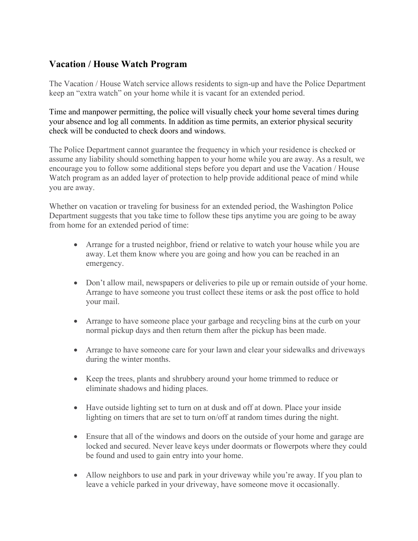## Vacation / House Watch Program

The Vacation / House Watch service allows residents to sign-up and have the Police Department keep an "extra watch" on your home while it is vacant for an extended period.

Time and manpower permitting, the police will visually check your home several times during your absence and log all comments. In addition as time permits, an exterior physical security check will be conducted to check doors and windows.

The Police Department cannot guarantee the frequency in which your residence is checked or assume any liability should something happen to your home while you are away. As a result, we encourage you to follow some additional steps before you depart and use the Vacation / House Watch program as an added layer of protection to help provide additional peace of mind while you are away.

Whether on vacation or traveling for business for an extended period, the Washington Police Department suggests that you take time to follow these tips anytime you are going to be away from home for an extended period of time:

- Arrange for a trusted neighbor, friend or relative to watch your house while you are away. Let them know where you are going and how you can be reached in an emergency.
- Don't allow mail, newspapers or deliveries to pile up or remain outside of your home. Arrange to have someone you trust collect these items or ask the post office to hold your mail.
- Arrange to have someone place your garbage and recycling bins at the curb on your normal pickup days and then return them after the pickup has been made.
- Arrange to have someone care for your lawn and clear your sidewalks and driveways during the winter months.
- Keep the trees, plants and shrubbery around your home trimmed to reduce or eliminate shadows and hiding places.
- Have outside lighting set to turn on at dusk and off at down. Place your inside lighting on timers that are set to turn on/off at random times during the night.
- Ensure that all of the windows and doors on the outside of your home and garage are locked and secured. Never leave keys under doormats or flowerpots where they could be found and used to gain entry into your home.
- Allow neighbors to use and park in your driveway while you're away. If you plan to leave a vehicle parked in your driveway, have someone move it occasionally.